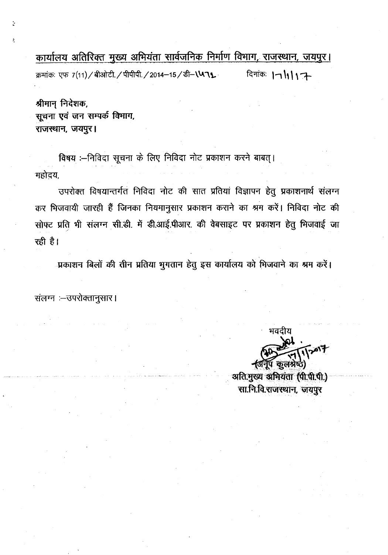कार्यालय अतिरिक्त मुख्य अभियंता सार्वजनिक निर्माण विभाग, राजस्थान, जयपुर। क्रमांकः एफ 7(11) / बीओटी. / पीपीपी. / 2014-15 / डी- \ V 71. \\\ दिनांकः | - 1 | | 1 7-

श्रीमान् निदेशक, सूचना एवं जन सम्पर्क विभाग, राजस्थान, जयपुर।

विषय :-- निविदा सूचना के लिए निविदा नोट प्रकाशन करने बाबत् । महोदय,

उपरोक्त विषयान्तर्गत निविदा नोट की सात प्रतियां विज्ञापन हेतु प्रकाशनार्थ संलग्न कर भिजवायी जारही हैं जिनका नियमानुसार प्रकाशन कराने का श्रम करें। निविदा नोट की सोफ्ट प्रति भी संलग्न सी.डी. में डी.आई.पीआर. की वेबसाइट पर प्रकाशन हेतु मिजवाई जा रही है।

प्रकाशन बिलों की तीन प्रतिया भुगतान हेतु इस कार्यालय को भिजवाने का श्रम करें।

संलग्न :- उपरोक्तानुसार।

भवदीय কলপ্পত)

अति.मुख्य अभियंता (पी.पी.पी.) सा.नि.वि.राजस्थान, जयपुर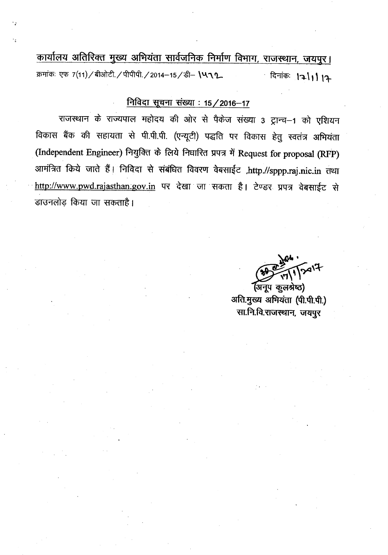कार्यालय अतिरिक्त मुख्य अभियंता सार्वजनिक निर्माण विभाग, राजस्थान, जयपुर। क्रमांकः एफ 7(11) / बीओटी / पीपीपी / 2014-15 / डी- 1412 दिनांकः । २।। । १२

### <u>निविदा सूचना संख्या : 15 / 2016-17</u>

राजस्थान के राज्यपाल महोदय की ओर से पैकेज संख्या 3 ट्रान्च-1 को एशियन विकास बैंक की सहायता से पी.पी.पी. (एन्यूटी) पद्धति पर विकास हेतु स्वतंत्र अभियंता (Independent Engineer) नियुक्ति के लिये निधारित प्रपत्र में Request for proposal (RFP) आमंत्रित किये जाते हैं। निविदा से संबंधित विवरण वेबसाईट ,http.//sppp.raj.nic.in तथा http://www.pwd.rajasthan.gov.in पर देखा जा सकता है। टेण्डर प्रपत्र वेबसाईट से डाउनलोड़ किया जा सकताहै।

(अनूप कूलश्रेष्ठ) अति.मुख्य अभियंता (पी.पी.पी.) सा.नि.वि.राजस्थान, जयपुर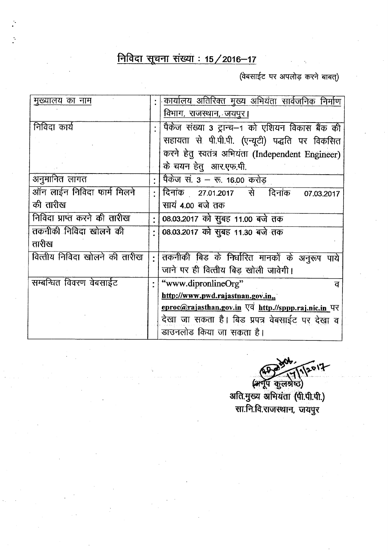# <u>निविदा सूचना संख्या : 15 / 2016-17</u>

 $($ वेबसाईट पर अपलोड़ करने बाबत्)

| मुख्यालय का नाम               | कार्यालय अतिरिक्त मुख्य अभियंता सार्वजनिक निर्माण                                         |  |  |
|-------------------------------|-------------------------------------------------------------------------------------------|--|--|
|                               | विभाग, राजस्थान, जयपुर।                                                                   |  |  |
| निविदा कार्य                  | पैकेज संख्या 3 ट्रान्च–1 को एशियन विकास बैंक की                                           |  |  |
|                               | सहायता से पी.पी.पी. (एन्यूटी) पद्धति पर विकसित                                            |  |  |
|                               | करने हेतु स्वतंत्र अभियंता (Independent Engineer)                                         |  |  |
|                               | के चयन हेतु आर.एफ.पी.                                                                     |  |  |
| अनुमानित लागत                 | पैकेज सं. 3 – रू. 16.00 करोड़                                                             |  |  |
| ऑन लाईन निविदा फार्म मिलने    | दिनांक 27.01.2017 से दिनांक<br>07.03.2017                                                 |  |  |
| की तारीख                      | सायं 4.00 बजे तक                                                                          |  |  |
| निविदा प्राप्त करने की तारीख  | 08.03.2017 को सुबह 11.00 बजे तक                                                           |  |  |
| तकनीकी निविदा खोलने की        | 08.03.2017 को सुबह 11.30 बजे तक                                                           |  |  |
| तारीख                         |                                                                                           |  |  |
| वित्तीय निविदा खोलने की तारीख | तकनीकी बिड के निर्धारित मानकों के अनुरूप पाये                                             |  |  |
|                               | जाने पर ही वित्तीय बिड़ खोली जावेगी।                                                      |  |  |
| सम्बन्धित विवरण वेबसाईट       | "www.dipronlineOrg"<br>ਰ                                                                  |  |  |
|                               | http://www.pwd.rajastnan.gov.in,                                                          |  |  |
|                               | eproc@rajasthan.gov.in $\nabla \overline{q}$ http.//sppp.raj.nic.in $\nabla \overline{q}$ |  |  |
|                               | देखा जा सकता है। बिड प्रपत्र वेबसाईट पर देखा व                                            |  |  |
|                               | डाउनलोड किया जा सकता है।                                                                  |  |  |

 $201$ 

(अनूप कुलश्रेष्ठ) अति.मुख्य अभियंता (पी.पी.पी.) सा.नि.वि.राजस्थान, जयपुर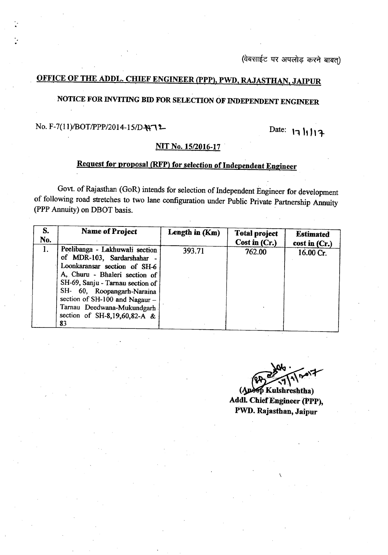(वेबसाईट पर अपलोड़ करने बाबत)

### <u>OFFICE OF THE ADDL. CHIEF ENGINEER (PPP), PWD, RAJASTHAN, JAIPUR</u>

## NOTICE FOR INVITING BID FOR SELECTION OF INDEPENDENT ENGINEER

# No. F-7(11)/BOT/PPP/2014-15/D-N-72 Date: 17 |1 |1 }

#### NIT No. *1512016-17 .*

## Request for proposal (RFP) for selection of Independent Engineer

Govt. of Rajasthan (GoR) intends for selection of Independent Engineer for development of following road stretches to two lane configuration under Public Private Partnership Annuity (PPP Annuity) on DBOT basis.

| S.<br>No. | <b>Name of Project</b>                                                                                                                                                                                                                                                                                | Length in (Km) | <b>Total project</b><br>Cost in $(Cr.)$ | <b>Estimated</b><br>cost in (Cr.) |
|-----------|-------------------------------------------------------------------------------------------------------------------------------------------------------------------------------------------------------------------------------------------------------------------------------------------------------|----------------|-----------------------------------------|-----------------------------------|
| 1.        | Peelibanga - Lakhuwali section<br>of MDR-103, Sardarshahar<br>Loonkaransar section of SH-6<br>A, Churu - Bhaleri section of<br>SH-69, Sanju - Tarnau section of<br>SH- 60, Roopangarh-Naraina<br>section of SH-100 and Nagaur $-$<br>Tarnau Deedwana-Mukundgarh<br>section of SH-8,19,60,82-A &<br>83 | 393.71         | 762.00                                  | 16.00 Cr.                         |

 $200 - 1007$ 

(Apeop Kulshreshtha) Addl. Chief Engineer (PPP), FWD. Rajasthan, Jaipur